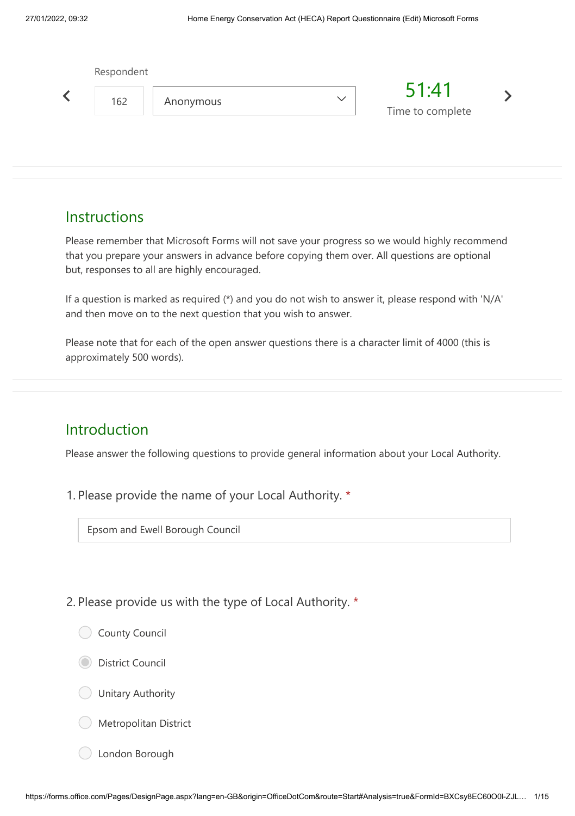| 51:41<br>$\checkmark$<br>162<br>Anonymous<br>Time to complete |  |
|---------------------------------------------------------------|--|

#### **Instructions**

Please remember that Microsoft Forms will not save your progress so we would highly recommend that you prepare your answers in advance before copying them over. All questions are optional but, responses to all are highly encouraged.

If a question is marked as required (\*) and you do not wish to answer it, please respond with 'N/A' and then move on to the next question that you wish to answer.

Please note that for each of the open answer questions there is a character limit of 4000 (this is approximately 500 words).

#### Introduction

Please answer the following questions to provide general information about your Local Authority.

1. Please provide the name of your Local Authority. \*

Epsom and Ewell Borough Council

2. Please provide us with the type of Local Authority. \*

- County Council
- District Council
- Unitary Authority
- Metropolitan District
- London Borough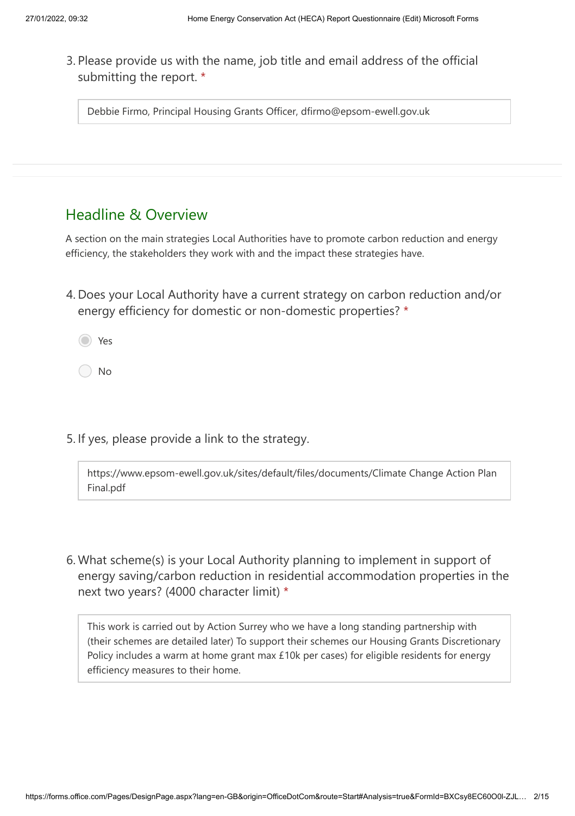3. Please provide us with the name, job title and email address of the official submitting the report. \*

Debbie Firmo, Principal Housing Grants Officer, dfirmo@epsom-ewell.gov.uk

### Headline & Overview

A section on the main strategies Local Authorities have to promote carbon reduction and energy efficiency, the stakeholders they work with and the impact these strategies have.

4. Does your Local Authority have a current strategy on carbon reduction and/or energy efficiency for domestic or non-domestic properties? \*

Yes

No

5. If yes, please provide a link to the strategy.

https://www.epsom-ewell.gov.uk/sites/default/files/documents/Climate Change Action Plan Final.pdf

What scheme(s) is your Local Authority planning to implement in support of 6.energy saving/carbon reduction in residential accommodation properties in the next two years? (4000 character limit) \*

This work is carried out by Action Surrey who we have a long standing partnership with (their schemes are detailed later) To support their schemes our Housing Grants Discretionary Policy includes a warm at home grant max £10k per cases) for eligible residents for energy efficiency measures to their home.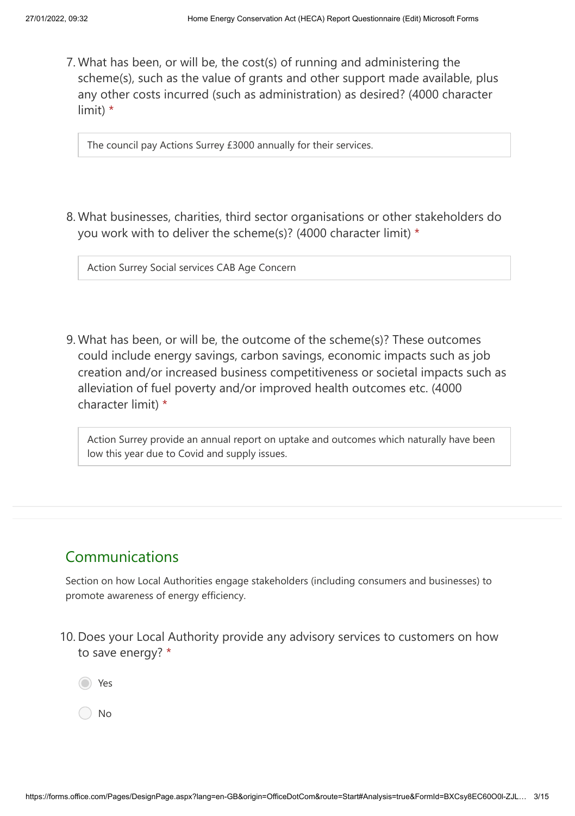What has been, or will be, the cost(s) of running and administering the 7. scheme(s), such as the value of grants and other support made available, plus any other costs incurred (such as administration) as desired? (4000 character limit) \*

The council pay Actions Surrey £3000 annually for their services.

What businesses, charities, third sector organisations or other stakeholders do 8. you work with to deliver the scheme(s)? (4000 character limit) \*

Action Surrey Social services CAB Age Concern

What has been, or will be, the outcome of the scheme(s)? These outcomes 9. could include energy savings, carbon savings, economic impacts such as job creation and/or increased business competitiveness or societal impacts such as alleviation of fuel poverty and/or improved health outcomes etc. (4000 character limit) \*

Action Surrey provide an annual report on uptake and outcomes which naturally have been low this year due to Covid and supply issues.

# Communications

Section on how Local Authorities engage stakeholders (including consumers and businesses) to promote awareness of energy efficiency.

10. Does your Local Authority provide any advisory services to customers on how to save energy? \*

Yes

No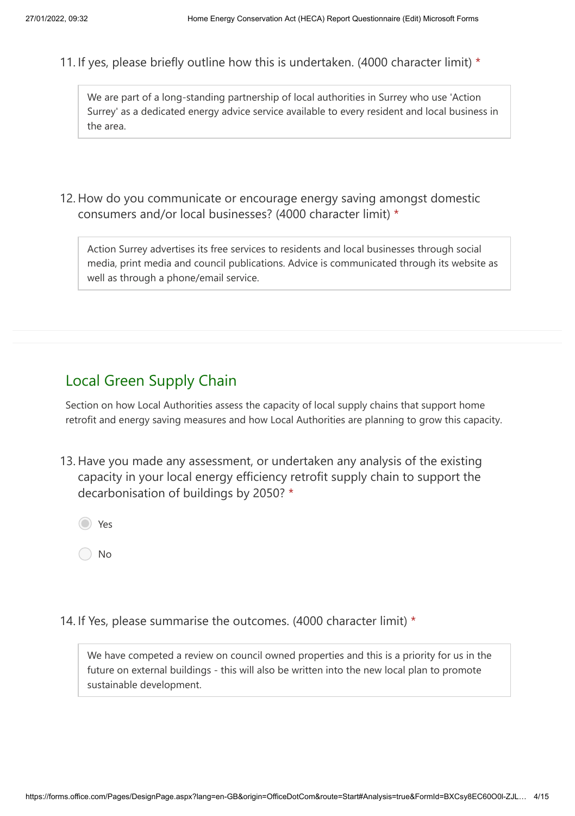11. If yes, please briefly outline how this is undertaken. (4000 character limit) \*

We are part of a long-standing partnership of local authorities in Surrey who use 'Action Surrey' as a dedicated energy advice service available to every resident and local business in the area.

12. How do you communicate or encourage energy saving amongst domestic consumers and/or local businesses? (4000 character limit) \*

Action Surrey advertises its free services to residents and local businesses through social media, print media and council publications. Advice is communicated through its website as well as through a phone/email service.

# Local Green Supply Chain

Section on how Local Authorities assess the capacity of local supply chains that support home retrofit and energy saving measures and how Local Authorities are planning to grow this capacity.

13. Have you made any assessment, or undertaken any analysis of the existing capacity in your local energy efficiency retrofit supply chain to support the decarbonisation of buildings by 2050? \*

Yes

No

14. If Yes, please summarise the outcomes. (4000 character limit) \*

We have competed a review on council owned properties and this is a priority for us in the future on external buildings - this will also be written into the new local plan to promote sustainable development.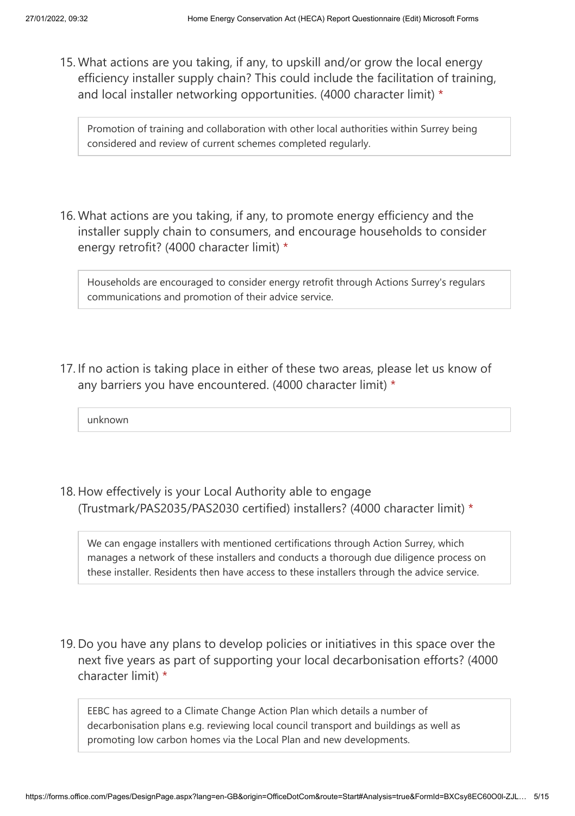15. What actions are you taking, if any, to upskill and/or grow the local energy efficiency installer supply chain? This could include the facilitation of training, and local installer networking opportunities. (4000 character limit) \*

Promotion of training and collaboration with other local authorities within Surrey being considered and review of current schemes completed regularly.

16. What actions are you taking, if any, to promote energy efficiency and the installer supply chain to consumers, and encourage households to consider energy retrofit? (4000 character limit) \*

Households are encouraged to consider energy retrofit through Actions Surrey's regulars communications and promotion of their advice service.

17. If no action is taking place in either of these two areas, please let us know of any barriers you have encountered. (4000 character limit) \*

unknown

18. How effectively is your Local Authority able to engage (Trustmark/PAS2035/PAS2030 certified) installers? (4000 character limit) \*

We can engage installers with mentioned certifications through Action Surrey, which manages a network of these installers and conducts a thorough due diligence process on these installer. Residents then have access to these installers through the advice service.

19. Do you have any plans to develop policies or initiatives in this space over the next five years as part of supporting your local decarbonisation efforts? (4000 character limit) \*

EEBC has agreed to a Climate Change Action Plan which details a number of decarbonisation plans e.g. reviewing local council transport and buildings as well as promoting low carbon homes via the Local Plan and new developments.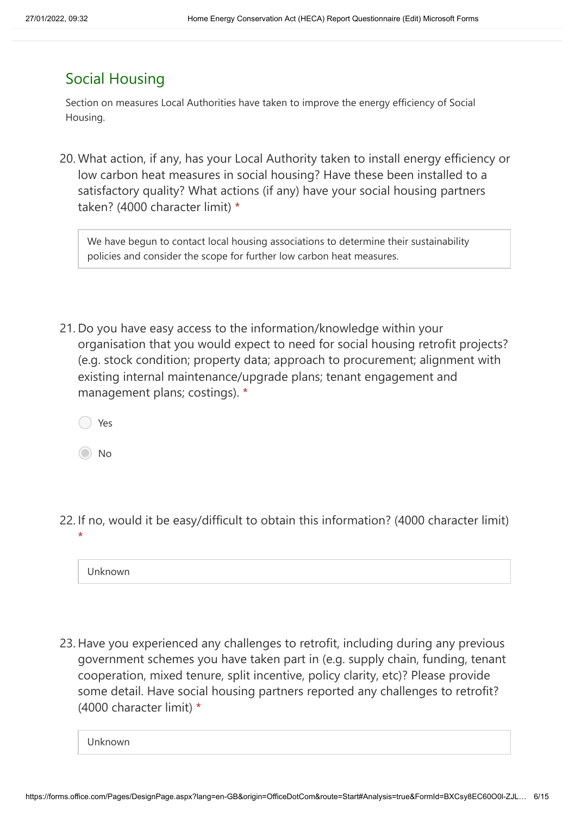# Social Housing

Section on measures Local Authorities have taken to improve the energy efficiency of Social Housing.

20. What action, if any, has your Local Authority taken to install energy efficiency or low carbon heat measures in social housing? Have these been installed to a satisfactory quality? What actions (if any) have your social housing partners taken? (4000 character limit) \*

We have begun to contact local housing associations to determine their sustainability policies and consider the scope for further low carbon heat measures.

21. Do you have easy access to the information/knowledge within your organisation that you would expect to need for social housing retrofit projects? (e.g. stock condition; property data; approach to procurement; alignment with existing internal maintenance/upgrade plans; tenant engagement and management plans; costings). \*

Yes

No

22. If no, would it be easy/difficult to obtain this information? (4000 character limit) \*

Unknown

23. Have you experienced any challenges to retrofit, including during any previous government schemes you have taken part in (e.g. supply chain, funding, tenant cooperation, mixed tenure, split incentive, policy clarity, etc)? Please provide some detail. Have social housing partners reported any challenges to retrofit? (4000 character limit) \*

Unknown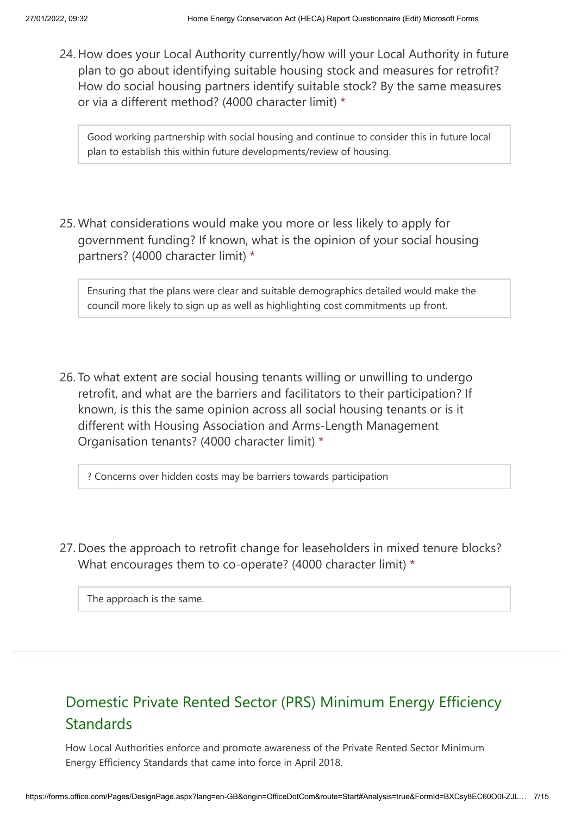24. How does your Local Authority currently/how will your Local Authority in future plan to go about identifying suitable housing stock and measures for retrofit? How do social housing partners identify suitable stock? By the same measures or via a different method? (4000 character limit) \*

Good working partnership with social housing and continue to consider this in future local plan to establish this within future developments/review of housing.

25. What considerations would make you more or less likely to apply for government funding? If known, what is the opinion of your social housing partners? (4000 character limit) \*

Ensuring that the plans were clear and suitable demographics detailed would make the council more likely to sign up as well as highlighting cost commitments up front.

26. To what extent are social housing tenants willing or unwilling to undergo retrofit, and what are the barriers and facilitators to their participation? If known, is this the same opinion across all social housing tenants or is it different with Housing Association and Arms-Length Management Organisation tenants? (4000 character limit) \*

? Concerns over hidden costs may be barriers towards participation

27. Does the approach to retrofit change for leaseholders in mixed tenure blocks? What encourages them to co-operate? (4000 character limit) \*

The approach is the same.

# Domestic Private Rented Sector (PRS) Minimum Energy Efficiency **Standards**

How Local Authorities enforce and promote awareness of the Private Rented Sector Minimum Energy Efficiency Standards that came into force in April 2018.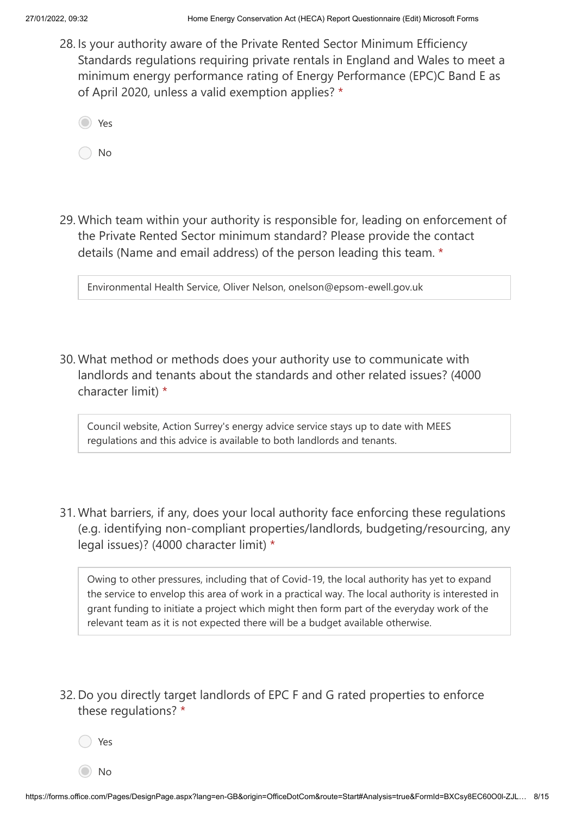28. Is your authority aware of the Private Rented Sector Minimum Efficiency Standards regulations requiring private rentals in England and Wales to meet a minimum energy performance rating of Energy Performance (EPC)C Band E as of April 2020, unless a valid exemption applies? \*

Yes

No

Which team within your authority is responsible for, leading on enforcement of 29. the Private Rented Sector minimum standard? Please provide the contact details (Name and email address) of the person leading this team. \*

Environmental Health Service, Oliver Nelson, onelson@epsom-ewell.gov.uk

30. What method or methods does your authority use to communicate with landlords and tenants about the standards and other related issues? (4000 character limit) \*

Council website, Action Surrey's energy advice service stays up to date with MEES regulations and this advice is available to both landlords and tenants.

31. What barriers, if any, does your local authority face enforcing these regulations (e.g. identifying non-compliant properties/landlords, budgeting/resourcing, any legal issues)? (4000 character limit) \*

Owing to other pressures, including that of Covid-19, the local authority has yet to expand the service to envelop this area of work in a practical way. The local authority is interested in grant funding to initiate a project which might then form part of the everyday work of the relevant team as it is not expected there will be a budget available otherwise.

32. Do you directly target landlords of EPC F and G rated properties to enforce these regulations? \*

Yes

No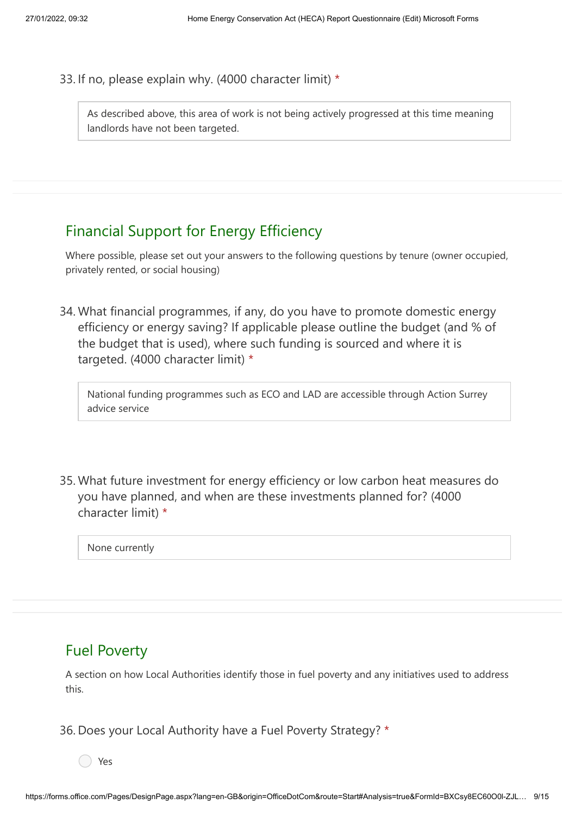33. If no, please explain why. (4000 character limit) \*

As described above, this area of work is not being actively progressed at this time meaning landlords have not been targeted.

# Financial Support for Energy Efficiency

Where possible, please set out your answers to the following questions by tenure (owner occupied, privately rented, or social housing)

What financial programmes, if any, do you have to promote domestic energy 34. efficiency or energy saving? If applicable please outline the budget (and % of the budget that is used), where such funding is sourced and where it is targeted. (4000 character limit) \*

National funding programmes such as ECO and LAD are accessible through Action Surrey advice service

35. What future investment for energy efficiency or low carbon heat measures do you have planned, and when are these investments planned for? (4000 character limit) \*

None currently

### Fuel Poverty

A section on how Local Authorities identify those in fuel poverty and any initiatives used to address this.

36. Does your Local Authority have a Fuel Poverty Strategy? \*

Yes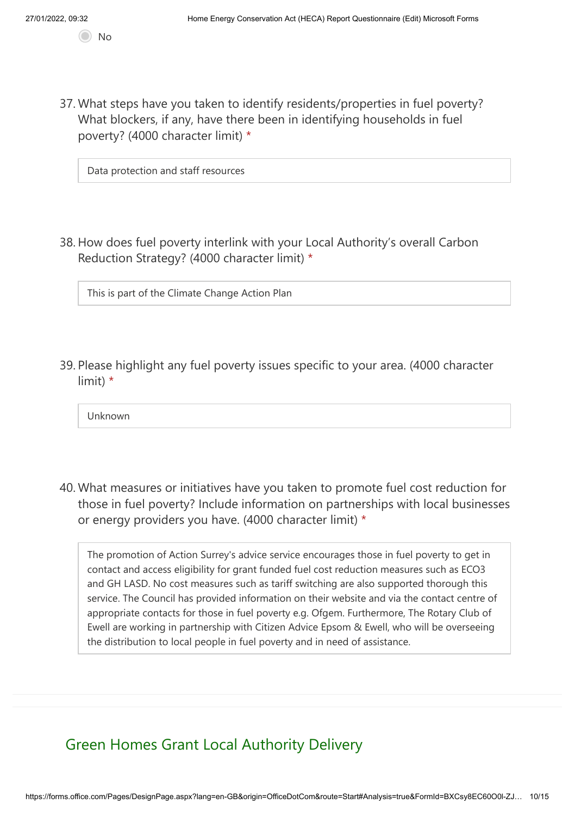37. What steps have you taken to identify residents/properties in fuel poverty? What blockers, if any, have there been in identifying households in fuel poverty? (4000 character limit) \*

Data protection and staff resources

38. How does fuel poverty interlink with your Local Authority's overall Carbon Reduction Strategy? (4000 character limit) \*

This is part of the Climate Change Action Plan

39. Please highlight any fuel poverty issues specific to your area. (4000 character limit) \*

Unknown

What measures or initiatives have you taken to promote fuel cost reduction for 40. those in fuel poverty? Include information on partnerships with local businesses or energy providers you have. (4000 character limit) \*

The promotion of Action Surrey's advice service encourages those in fuel poverty to get in contact and access eligibility for grant funded fuel cost reduction measures such as ECO3 and GH LASD. No cost measures such as tariff switching are also supported thorough this service. The Council has provided information on their website and via the contact centre of appropriate contacts for those in fuel poverty e.g. Ofgem. Furthermore, The Rotary Club of Ewell are working in partnership with Citizen Advice Epsom & Ewell, who will be overseeing the distribution to local people in fuel poverty and in need of assistance.

Green Homes Grant Local Authority Delivery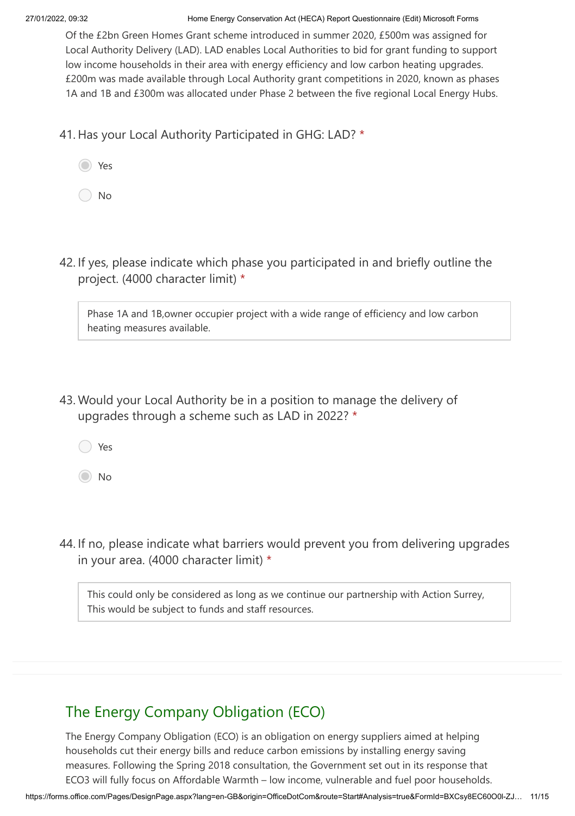#### 27/01/2022, 09:32 Home Energy Conservation Act (HECA) Report Questionnaire (Edit) Microsoft Forms

Of the £2bn Green Homes Grant scheme introduced in summer 2020, £500m was assigned for Local Authority Delivery (LAD). LAD enables Local Authorities to bid for grant funding to support low income households in their area with energy efficiency and low carbon heating upgrades. £200m was made available through Local Authority grant competitions in 2020, known as phases 1A and 1B and £300m was allocated under Phase 2 between the five regional Local Energy Hubs.

41. Has your Local Authority Participated in GHG: LAD? \*

No

42. If yes, please indicate which phase you participated in and briefly outline the project. (4000 character limit) \*

Phase 1A and 1B,owner occupier project with a wide range of efficiency and low carbon heating measures available.

43. Would your Local Authority be in a position to manage the delivery of upgrades through a scheme such as LAD in 2022? \*

Yes

No

44. If no, please indicate what barriers would prevent you from delivering upgrades in your area. (4000 character limit) \*

This could only be considered as long as we continue our partnership with Action Surrey, This would be subject to funds and staff resources.

# The Energy Company Obligation (ECO)

The Energy Company Obligation (ECO) is an obligation on energy suppliers aimed at helping households cut their energy bills and reduce carbon emissions by installing energy saving measures. Following the Spring 2018 consultation, the Government set out in its response that ECO3 will fully focus on Affordable Warmth – low income, vulnerable and fuel poor households.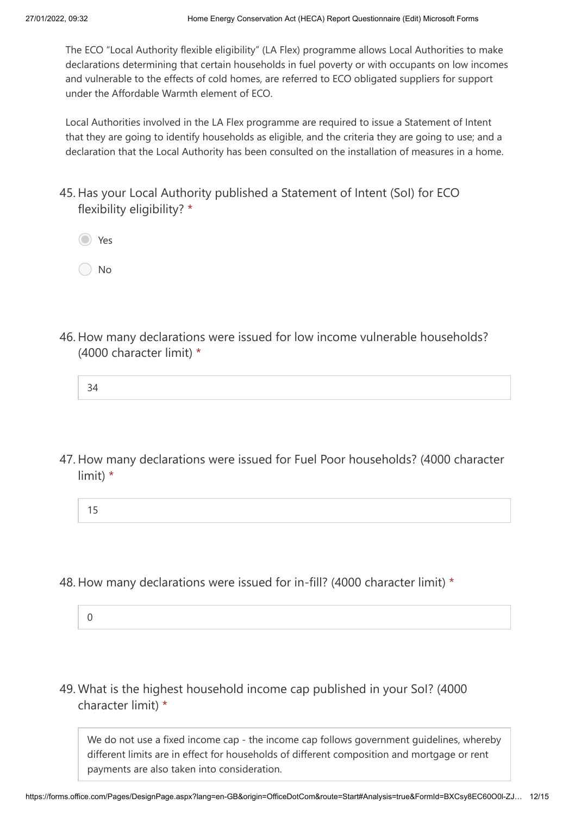The ECO "Local Authority flexible eligibility" (LA Flex) programme allows Local Authorities to make declarations determining that certain households in fuel poverty or with occupants on low incomes and vulnerable to the effects of cold homes, are referred to ECO obligated suppliers for support under the Affordable Warmth element of ECO.

Local Authorities involved in the LA Flex programme are required to issue a Statement of Intent that they are going to identify households as eligible, and the criteria they are going to use; and a declaration that the Local Authority has been consulted on the installation of measures in a home.

- 45. Has your Local Authority published a Statement of Intent (Sol) for ECO flexibility eligibility? \*
	- Yes

No

- 46. How many declarations were issued for low income vulnerable households? (4000 character limit) \*
	- 34
- 47. How many declarations were issued for Fuel Poor households? (4000 character limit) \*
	- 15
- 48. How many declarations were issued for in-fill? (4000 character limit) \*
	- 0
- What is the highest household income cap published in your SoI? (4000 49.character limit) \*

We do not use a fixed income cap - the income cap follows government guidelines, whereby different limits are in effect for households of different composition and mortgage or rent payments are also taken into consideration.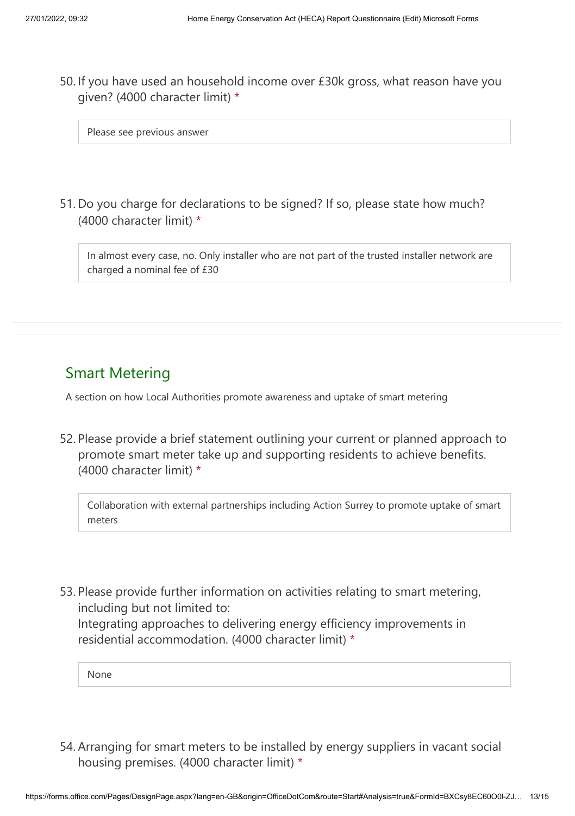50. If you have used an household income over £30k gross, what reason have you given? (4000 character limit) \*

Please see previous answer

51. Do you charge for declarations to be signed? If so, please state how much? (4000 character limit) \*

In almost every case, no. Only installer who are not part of the trusted installer network are charged a nominal fee of £30

### Smart Metering

A section on how Local Authorities promote awareness and uptake of smart metering

52. Please provide a brief statement outlining your current or planned approach to promote smart meter take up and supporting residents to achieve benefits. (4000 character limit) \*

Collaboration with external partnerships including Action Surrey to promote uptake of smart meters

53. Please provide further information on activities relating to smart metering, including but not limited to: Integrating approaches to delivering energy efficiency improvements in residential accommodation. (4000 character limit) \*

None

54. Arranging for smart meters to be installed by energy suppliers in vacant social housing premises. (4000 character limit) \*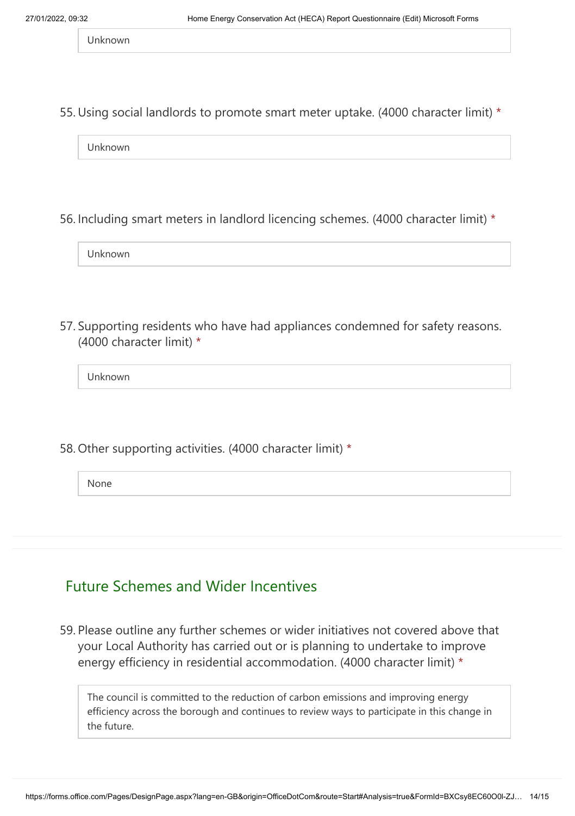Unknown

55. Using social landlords to promote smart meter uptake. (4000 character limit) \*

Unknown

56. Including smart meters in landlord licencing schemes. (4000 character limit) \*

Unknown

57. Supporting residents who have had appliances condemned for safety reasons. (4000 character limit) \*

Unknown

58. Other supporting activities. (4000 character limit) \*

None

#### Future Schemes and Wider Incentives

59. Please outline any further schemes or wider initiatives not covered above that your Local Authority has carried out or is planning to undertake to improve energy efficiency in residential accommodation. (4000 character limit) \*

The council is committed to the reduction of carbon emissions and improving energy efficiency across the borough and continues to review ways to participate in this change in the future.